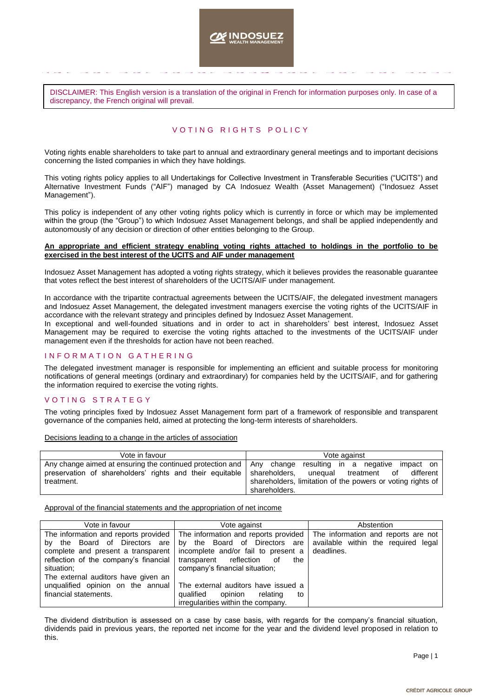**INDOSLIEZ** 

DISCLAIMER: This English version is a translation of the original in French for information purposes only. In case of a discrepancy, the French original will prevail.

### VOTING RIGHTS POLICY

Voting rights enable shareholders to take part to annual and extraordinary general meetings and to important decisions concerning the listed companies in which they have holdings.

This voting rights policy applies to all Undertakings for Collective Investment in Transferable Securities ("UCITS") and Alternative Investment Funds ("AIF") managed by CA Indosuez Wealth (Asset Management) ("Indosuez Asset Management").

This policy is independent of any other voting rights policy which is currently in force or which may be implemented within the group (the "Group") to which Indosuez Asset Management belongs, and shall be applied independently and autonomously of any decision or direction of other entities belonging to the Group.

#### **An appropriate and efficient strategy enabling voting rights attached to holdings in the portfolio to be exercised in the best interest of the UCITS and AIF under management**

Indosuez Asset Management has adopted a voting rights strategy, which it believes provides the reasonable guarantee that votes reflect the best interest of shareholders of the UCITS/AIF under management.

In accordance with the tripartite contractual agreements between the UCITS/AIF, the delegated investment managers and Indosuez Asset Management, the delegated investment managers exercise the voting rights of the UCITS/AIF in accordance with the relevant strategy and principles defined by Indosuez Asset Management.

In exceptional and well-founded situations and in order to act in shareholders' best interest, Indosuez Asset Management may be required to exercise the voting rights attached to the investments of the UCITS/AIF under management even if the thresholds for action have not been reached.

### INFORMATION GATHERING

The delegated investment manager is responsible for implementing an efficient and suitable process for monitoring notifications of general meetings (ordinary and extraordinary) for companies held by the UCITS/AIF, and for gathering the information required to exercise the voting rights.

### VOTING STRATEGY

The voting principles fixed by Indosuez Asset Management form part of a framework of responsible and transparent governance of the companies held, aimed at protecting the long-term interests of shareholders.

Decisions leading to a change in the articles of association

| Vote in favour                                                                                       | Vote against                                               |  |  |  |  |
|------------------------------------------------------------------------------------------------------|------------------------------------------------------------|--|--|--|--|
| Any change aimed at ensuring the continued protection and $\vert$ Any change resulting in a negative | impact on                                                  |  |  |  |  |
| preservation of shareholders' rights and their equitable                                             | shareholders.<br>of<br>different<br>unequal<br>treatment   |  |  |  |  |
| treatment.                                                                                           | shareholders, limitation of the powers or voting rights of |  |  |  |  |
|                                                                                                      | shareholders.                                              |  |  |  |  |

Approval of the financial statements and the appropriation of net income

| Vote in favour                                                              | Vote against                                                                  | Abstention                                                                 |  |
|-----------------------------------------------------------------------------|-------------------------------------------------------------------------------|----------------------------------------------------------------------------|--|
| The information and reports provided<br>by the Board of Directors are       | The information and reports provided<br>by the Board of Directors are         | The information and reports are not<br>available within the required legal |  |
| complete and present a transparent<br>reflection of the company's financial | incomplete and/or fail to present a<br>reflection<br>transparent<br>the<br>of | deadlines.                                                                 |  |
| situation;                                                                  | company's financial situation;                                                |                                                                            |  |
| The external auditors have given an                                         |                                                                               |                                                                            |  |
| unqualified opinion on the annual                                           | The external auditors have issued a                                           |                                                                            |  |
| financial statements.                                                       | opinion<br>qualified<br>relating<br>to                                        |                                                                            |  |
|                                                                             | irregularities within the company.                                            |                                                                            |  |

The dividend distribution is assessed on a case by case basis, with regards for the company's financial situation, dividends paid in previous years, the reported net income for the year and the dividend level proposed in relation to this.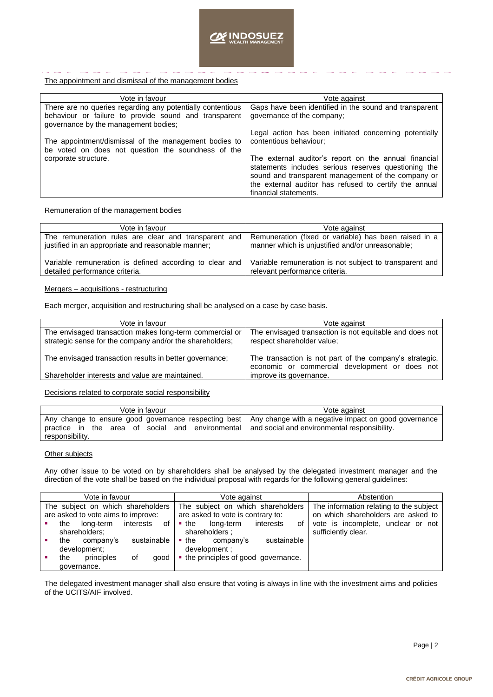The appointment and dismissal of the management bodies

| Vote in favour                                                                                                                                              | Vote against                                                                                                                                                                                                                                           |  |  |  |
|-------------------------------------------------------------------------------------------------------------------------------------------------------------|--------------------------------------------------------------------------------------------------------------------------------------------------------------------------------------------------------------------------------------------------------|--|--|--|
| There are no queries regarding any potentially contentious<br>behaviour or failure to provide sound and transparent<br>governance by the management bodies; | Gaps have been identified in the sound and transparent<br>governance of the company;                                                                                                                                                                   |  |  |  |
| The appointment/dismissal of the management bodies to<br>be voted on does not question the soundness of the                                                 | Legal action has been initiated concerning potentially<br>contentious behaviour;                                                                                                                                                                       |  |  |  |
| corporate structure.                                                                                                                                        | The external auditor's report on the annual financial<br>statements includes serious reserves questioning the<br>sound and transparent management of the company or<br>the external auditor has refused to certify the annual<br>financial statements. |  |  |  |

Remuneration of the management bodies

| Vote against                                                                                              |  |  |
|-----------------------------------------------------------------------------------------------------------|--|--|
| Remuneration (fixed or variable) has been raised in a<br>manner which is unjustified and/or unreasonable; |  |  |
| Variable remuneration is not subject to transparent and<br>relevant performance criteria.                 |  |  |
|                                                                                                           |  |  |

## Mergers – acquisitions - restructuring

Each merger, acquisition and restructuring shall be analysed on a case by case basis.

| Vote in favour                                           | Vote against                                            |
|----------------------------------------------------------|---------------------------------------------------------|
| The envisaged transaction makes long-term commercial or  | The envisaged transaction is not equitable and does not |
| strategic sense for the company and/or the shareholders; | respect shareholder value;                              |
|                                                          |                                                         |
| The envisaged transaction results in better governance:  | The transaction is not part of the company's strategic, |
|                                                          | economic or commercial development or does not          |
| Shareholder interests and value are maintained.          | improve its governance.                                 |
|                                                          |                                                         |

Decisions related to corporate social responsibility

| Vote in favour                                                                                                                                                  | Vote against                                 |  |  |  |
|-----------------------------------------------------------------------------------------------------------------------------------------------------------------|----------------------------------------------|--|--|--|
| Any change to ensure good governance respecting best   Any change with a negative impact on good governance<br>practice in the area of social and environmental | and social and environmental responsibility. |  |  |  |
| responsibility.                                                                                                                                                 |                                              |  |  |  |

## **Other subjects**

Any other issue to be voted on by shareholders shall be analysed by the delegated investment manager and the direction of the vote shall be based on the individual proposal with regards for the following general guidelines:

| Vote in favour                     |     |             | Vote against                      |      |                    | Abstention                              |             |    |                                    |
|------------------------------------|-----|-------------|-----------------------------------|------|--------------------|-----------------------------------------|-------------|----|------------------------------------|
| The subject on which shareholders  |     |             | The subject on which shareholders |      |                    | The information relating to the subject |             |    |                                    |
| are asked to vote aims to improve: |     |             | are asked to vote is contrary to: |      |                    | on which shareholders are asked to      |             |    |                                    |
|                                    | the | long-term   | interests                         | of I | $\blacksquare$ the | long-term                               | interests   | 0f | vote is incomplete, unclear or not |
| shareholders:                      |     |             | shareholders:                     |      |                    | sufficiently clear.                     |             |    |                                    |
|                                    | the | company's   | sustainable                       |      | $\blacksquare$ the | company's                               | sustainable |    |                                    |
| development;                       |     |             |                                   |      | development :      |                                         |             |    |                                    |
|                                    | the | principles  | οf                                | good |                    | • the principles of good governance.    |             |    |                                    |
|                                    |     | governance. |                                   |      |                    |                                         |             |    |                                    |

The delegated investment manager shall also ensure that voting is always in line with the investment aims and policies of the UCITS/AIF involved.